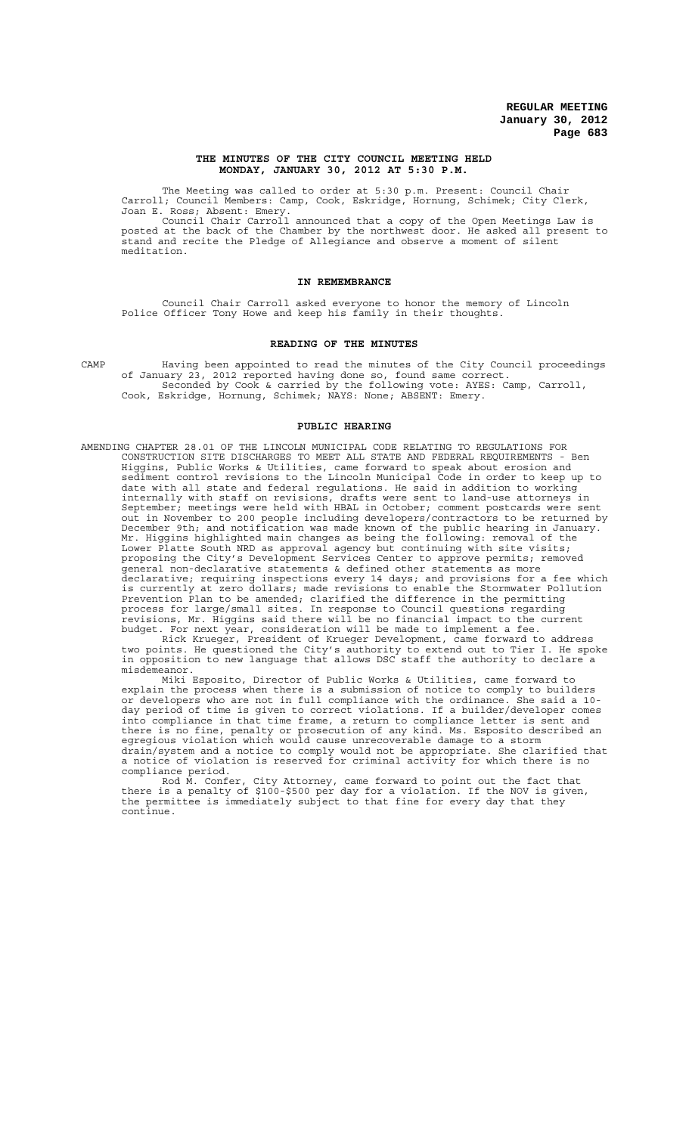## **THE MINUTES OF THE CITY COUNCIL MEETING HELD MONDAY, JANUARY 30, 2012 AT 5:30 P.M.**

The Meeting was called to order at 5:30 p.m. Present: Council Chair Carroll; Council Members: Camp, Cook, Eskridge, Hornung, Schimek; City Clerk, Joan E. Ross; Absent: Emery.

Council Chair Carroll announced that a copy of the Open Meetings Law is posted at the back of the Chamber by the northwest door. He asked all present to stand and recite the Pledge of Allegiance and observe a moment of silent meditation.

### **IN REMEMBRANCE**

Council Chair Carroll asked everyone to honor the memory of Lincoln Police Officer Tony Howe and keep his family in their thoughts.

## **READING OF THE MINUTES**

CAMP Having been appointed to read the minutes of the City Council proceedings of January 23, 2012 reported having done so, found same correct. Seconded by Cook & carried by the following vote: AYES: Camp, Carroll, Cook, Eskridge, Hornung, Schimek; NAYS: None; ABSENT: Emery.

#### **PUBLIC HEARING**

AMENDING CHAPTER 28.01 OF THE LINCOLN MUNICIPAL CODE RELATING TO REGULATIONS FOR CONSTRUCTION SITE DISCHARGES TO MEET ALL STATE AND FEDERAL REQUIREMENTS - Ben Higgins, Public Works & Utilities, came forward to speak about erosion and sediment control revisions to the Lincoln Municipal Code in order to keep up to date with all state and federal regulations. He said in addition to working internally with staff on revisions, drafts were sent to land-use attorneys in September; meetings were held with HBAL in October; comment postcards were sent out in November to 200 people including developers/contractors to be returned by December 9th; and notification was made known of the public hearing in January. Mr. Higgins highlighted main changes as being the following: removal of the Lower Platte South NRD as approval agency but continuing with site visits; proposing the City's Development Services Center to approve permits; removed general non-declarative statements & defined other statements as more declarative; requiring inspections every 14 days; and provisions for a fee which is currently at zero dollars; made revisions to enable the Stormwater Pollution Prevention Plan to be amended; clarified the difference in the permitting process for large/small sites. In response to Council questions regarding revisions, Mr. Higgins said there will be no financial impact to the current budget. For next year, consideration will be made to implement a fee.

Rick Krueger, President of Krueger Development, came forward to address two points. He questioned the City's authority to extend out to Tier I. He spoke in opposition to new language that allows DSC staff the authority to declare a misdemeanor.

Miki Esposito, Director of Public Works & Utilities, came forward to explain the process when there is a submission of notice to comply to builders or developers who are not in full compliance with the ordinance. She said a 10 day period of time is given to correct violations. If a builder/developer comes into compliance in that time frame, a return to compliance letter is sent and there is no fine, penalty or prosecution of any kind. Ms. Esposito described an egregious violation which would cause unrecoverable damage to a storm drain/system and a notice to comply would not be appropriate. She clarified that a notice of violation is reserved for criminal activity for which there is no compliance period.

Rod M. Confer, City Attorney, came forward to point out the fact that there is a penalty of \$100-\$500 per day for a violation. If the NOV is given, the permittee is immediately subject to that fine for every day that they continue.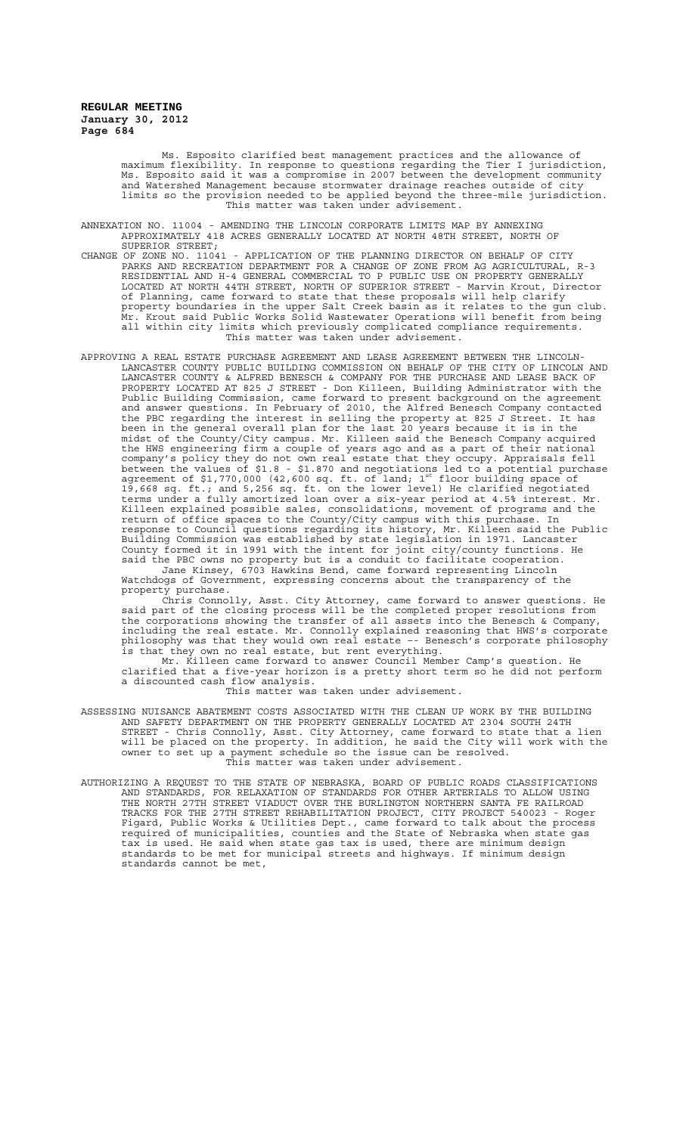> Ms. Esposito clarified best management practices and the allowance of maximum flexibility. In response to questions regarding the Tier I jurisdiction, Ms. Esposito said it was a compromise in 2007 between the development community and Watershed Management because stormwater drainage reaches outside of city limits so the provision needed to be applied beyond the three-mile jurisdiction. This matter was taken under advisement.

ANNEXATION NO. 11004 - AMENDING THE LINCOLN CORPORATE LIMITS MAP BY ANNEXING APPROXIMATELY 418 ACRES GENERALLY LOCATED AT NORTH 48TH STREET, NORTH OF SUPERIOR STREET;<br>CHANGE OF ZONE NO. 11041

- CHANGE OF ZONE NO. 11041 APPLICATION OF THE PLANNING DIRECTOR ON BEHALF OF CITY PARKS AND RECREATION DEPARTMENT FOR A CHANGE OF ZONE FROM AG AGRICULTURAL, R-3 RESIDENTIAL AND H-4 GENERAL COMMERCIAL TO P PUBLIC USE ON PROPERTY GENERALLY LOCATED AT NORTH 44TH STREET, NORTH OF SUPERIOR STREET - Marvin Krout, Director of Planning, came forward to state that these proposals will help clarify property boundaries in the upper Salt Creek basin as it relates to the gun club. Mr. Krout said Public Works Solid Wastewater Operations will benefit from being all within city limits which previously complicated compliance requirements. This matter was taken under advisement.
- APPROVING A REAL ESTATE PURCHASE AGREEMENT AND LEASE AGREEMENT BETWEEN THE LINCOLN-LANCASTER COUNTY PUBLIC BUILDING COMMISSION ON BEHALF OF THE CITY OF LINCOLN AND LANCASTER COUNTY & ALFRED BENESCH & COMPANY FOR THE PURCHASE AND LEASE BACK OF PROPERTY LOCATED AT 825 J STREET - Don Killeen, Building Administrator with the Public Building Commission, came forward to present background on the agreement and answer questions. In February of 2010, the Alfred Benesch Company contacted the PBC regarding the interest in selling the property at 825 J Street. It has been in the general overall plan for the last 20 years because it is in the midst of the County/City campus. Mr. Killeen said the Benesch Company acquired the HWS engineering firm a couple of years ago and as a part of their national company's policy they do not own real estate that they occupy. Appraisals fell between the values of \$1.8 - \$1.870 and negotiations led to a potential purchase<br>agreement of \$1,770,000 (42,600 sq. ft. of land; 1<sup>st</sup> floor building space of 19,668 sq. ft.; and 5,256 sq. ft. on the lower level) He clarified negotiated terms under a fully amortized loan over a six-year period at 4.5% interest. Mr. Killeen explained possible sales, consolidations, movement of programs and the return of office spaces to the County/City campus with this purchase. In response to Council questions regarding its history, Mr. Killeen said the Public Building Commission was established by state legislation in 1971. Lancaster County formed it in 1991 with the intent for joint city/county functions. He said the PBC owns no property but is a conduit to facilitate cooperation. Jane Kinsey, 6703 Hawkins Bend, came forward representing Lincoln

Watchdogs of Government, expressing concerns about the transparency of the property purchase.

Chris Connolly, Asst. City Attorney, came forward to answer questions. He said part of the closing process will be the completed proper resolutions from the corporations showing the transfer of all assets into the Benesch & Company, including the real estate. Mr. Connolly explained reasoning that HWS's corporate philosophy was that they would own real estate –- Benesch's corporate philosophy is that they own no real estate, but rent everything.

Mr. Killeen came forward to answer Council Member Camp's question. He clarified that a five-year horizon is a pretty short term so he did not perform a discounted cash flow analysis.

This matter was taken under advisement.

- ASSESSING NUISANCE ABATEMENT COSTS ASSOCIATED WITH THE CLEAN UP WORK BY THE BUILDING AND SAFETY DEPARTMENT ON THE PROPERTY GENERALLY LOCATED AT 2304 SOUTH 24TH STREET - Chris Connolly, Asst. City Attorney, came forward to state that a lien will be placed on the property. In addition, he said the City will work with the owner to set up a payment schedule so the issue can be resolved. This matter was taken under advisement.
- AUTHORIZING A REQUEST TO THE STATE OF NEBRASKA, BOARD OF PUBLIC ROADS CLASSIFICATIONS AND STANDARDS, FOR RELAXATION OF STANDARDS FOR OTHER ARTERIALS TO ALLOW USING THE NORTH 27TH STREET VIADUCT OVER THE BURLINGTON NORTHERN SANTA FE RAILROAD TRACKS FOR THE 27TH STREET REHABILITATION PROJECT, CITY PROJECT 540023 - Roger Figard, Public Works & Utilities Dept., came forward to talk about the process required of municipalities, counties and the State of Nebraska when state gas tax is used. He said when state gas tax is used, there are minimum design standards to be met for municipal streets and highways. If minimum design standards cannot be met,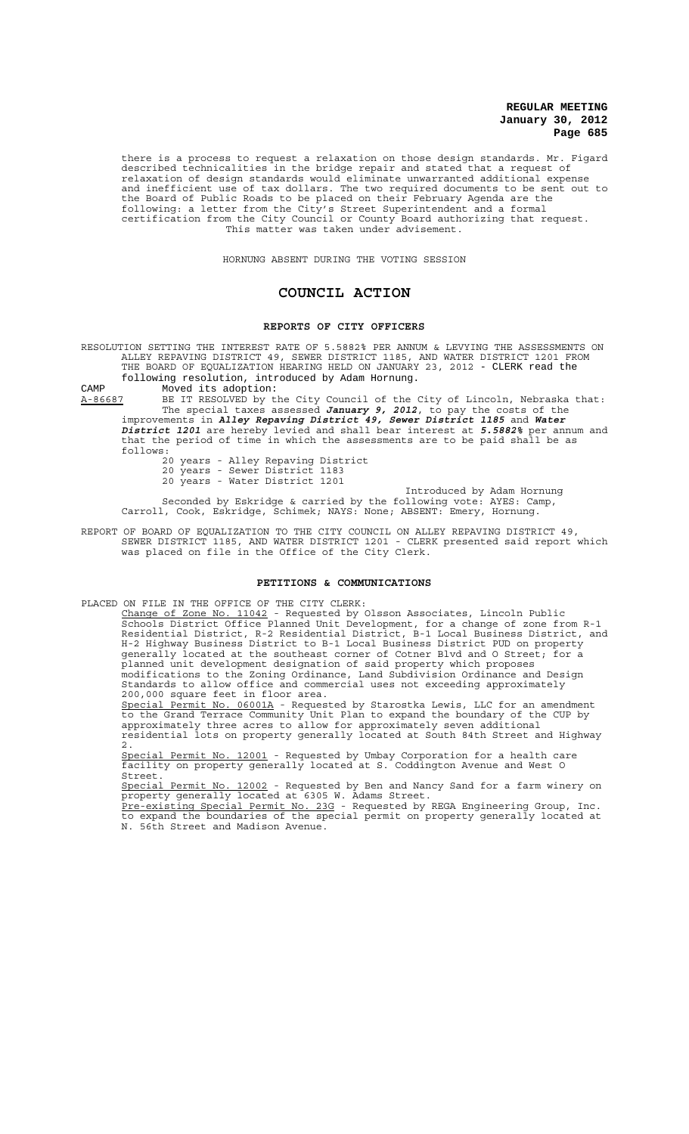there is a process to request a relaxation on those design standards. Mr. Figard described technicalities in the bridge repair and stated that a request of relaxation of design standards would eliminate unwarranted additional expense and inefficient use of tax dollars. The two required documents to be sent out to the Board of Public Roads to be placed on their February Agenda are the following: a letter from the City's Street Superintendent and a formal certification from the City Council or County Board authorizing that request. This matter was taken under advisement.

HORNUNG ABSENT DURING THE VOTING SESSION

# **COUNCIL ACTION**

# **REPORTS OF CITY OFFICERS**

RESOLUTION SETTING THE INTEREST RATE OF 5.5882% PER ANNUM & LEVYING THE ASSESSMENTS ON ALLEY REPAVING DISTRICT 49, SEWER DISTRICT 1185, AND WATER DISTRICT 1201 FROM THE BOARD OF EQUALIZATION HEARING HELD ON JANUARY 23, 2012 - CLERK read the following resolution, introduced by Adam Hornung.

CAMP Moved its adoption:<br>A-86687 BE IT RESOLVED by t A-86687 BE IT RESOLVED by the City Council of the City of Lincoln, Nebraska that: The special taxes assessed *January 9, 2012*, to pay the costs of the improvements in *Alley Repaving District 49, Sewer District 1185* and *Water District 1201* are hereby levied and shall bear interest at *5.5882%* per annum and

that the period of time in which the assessments are to be paid shall be as that the period of time in which the assessments are to be paid shall be as follows:

20 years - Alley Repaving District 20 years - Sewer District 1183 20 years - Water District 1201

Introduced by Adam Hornung Seconded by Eskridge & carried by the following vote: AYES: Camp, Carroll, Cook, Eskridge, Schimek; NAYS: None; ABSENT: Emery, Hornung.

REPORT OF BOARD OF EQUALIZATION TO THE CITY COUNCIL ON ALLEY REPAVING DISTRICT 49, SEWER DISTRICT 1185, AND WATER DISTRICT 1201 - CLERK presented said report which was placed on file in the Office of the City Clerk.

### **PETITIONS & COMMUNICATIONS**

PLACED ON FILE IN THE OFFICE OF THE CITY CLERK:

Change of Zone No. 11042 - Requested by Olsson Associates, Lincoln Public Schools District Office Planned Unit Development, for a change of zone from R-1 Residential District, R-2 Residential District, B-1 Local Business District, and H-2 Highway Business District to B-1 Local Business District PUD on property generally located at the southeast corner of Cotner Blvd and O Street; for a planned unit development designation of said property which proposes modifications to the Zoning Ordinance, Land Subdivision Ordinance and Design Standards to allow office and commercial uses not exceeding approximately 200,000 square feet in floor area. Special Permit No. 06001A - Requested by Starostka Lewis, LLC for an amendment to the Grand Terrace Community Unit Plan to expand the boundary of the CUP by

approximately three acres to allow for approximately seven additional residential lots on property generally located at South 84th Street and Highway 2.

Special Permit No. 12001 - Requested by Umbay Corporation for a health care facility on property generally located at S. Coddington Avenue and West O Street.<br>Special

Permit No. 12002 - Requested by Ben and Nancy Sand for a farm winery on property generally located at 6305 W. Adams Street.

Pre-existing Special Permit No. 23G - Requested by REGA Engineering Group, Inc. to expand the boundaries of the special permit on property generally located at N. 56th Street and Madison Avenue.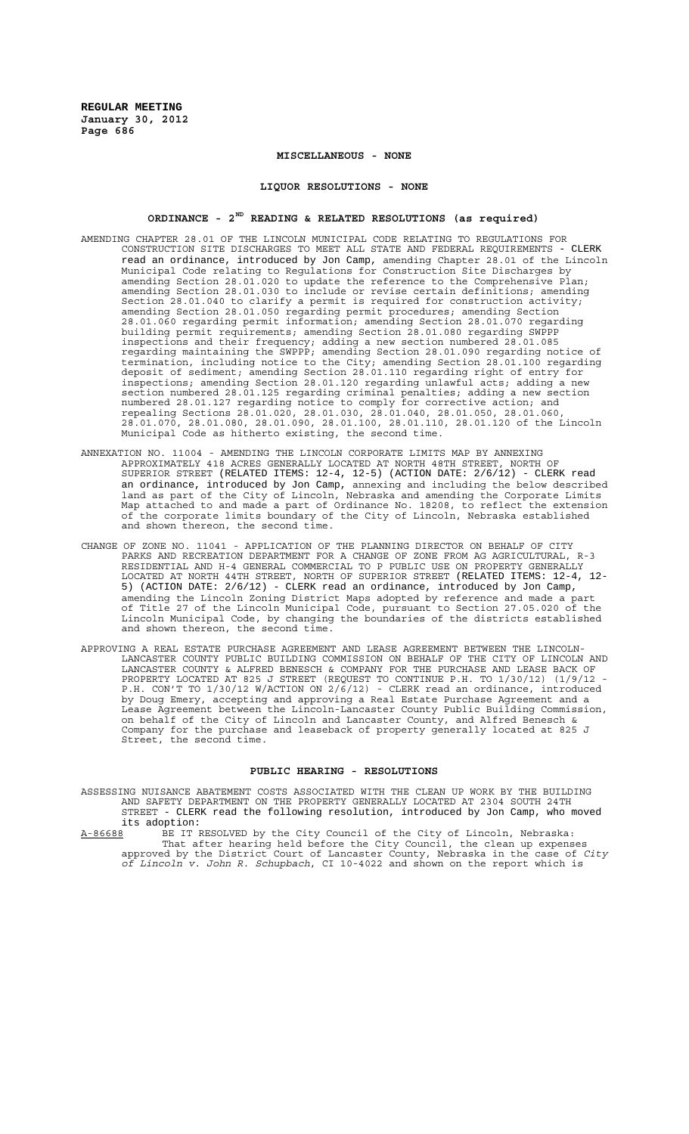# **MISCELLANEOUS - NONE**

#### **LIQUOR RESOLUTIONS - NONE**

# **ORDINANCE - 2ND READING & RELATED RESOLUTIONS (as required)**

- AMENDING CHAPTER 28.01 OF THE LINCOLN MUNICIPAL CODE RELATING TO REGULATIONS FOR CONSTRUCTION SITE DISCHARGES TO MEET ALL STATE AND FEDERAL REQUIREMENTS - CLERK read an ordinance, introduced by Jon Camp, amending Chapter 28.01 of the Lincoln Municipal Code relating to Regulations for Construction Site Discharges by amending Section 28.01.020 to update the reference to the Comprehensive Plan; amending Section 28.01.030 to include or revise certain definitions; amending Section 28.01.040 to clarify a permit is required for construction activity; amending Section 28.01.050 regarding permit procedures; amending Section 28.01.060 regarding permit information; amending Section 28.01.070 regarding building permit requirements; amending Section 28.01.080 regarding SWPPP inspections and their frequency; adding a new section numbered 28.01.085 regarding maintaining the SWPPP; amending Section 28.01.090 regarding notice of termination, including notice to the City; amending Section 28.01.100 regarding deposit of sediment; amending Section 28.01.110 regarding right of entry for inspections; amending Section 28.01.120 regarding unlawful acts; adding a new section numbered 28.01.125 regarding criminal penalties; adding a new section numbered 28.01.127 regarding notice to comply for corrective action; and repealing Sections 28.01.020, 28.01.030, 28.01.040, 28.01.050, 28.01.060, 28.01.070, 28.01.080, 28.01.090, 28.01.100, 28.01.110, 28.01.120 of the Lincoln Municipal Code as hitherto existing, the second time.
- ANNEXATION NO. 11004 AMENDING THE LINCOLN CORPORATE LIMITS MAP BY ANNEXING APPROXIMATELY 418 ACRES GENERALLY LOCATED AT NORTH 48TH STREET, NORTH OF SUPERIOR STREET (RELATED ITEMS: 12-4, 12-5) (ACTION DATE: 2/6/12) - CLERK read an ordinance, introduced by Jon Camp, annexing and including the below described land as part of the City of Lincoln, Nebraska and amending the Corporate Limits Map attached to and made a part of Ordinance No. 18208, to reflect the extension of the corporate limits boundary of the City of Lincoln, Nebraska established and shown thereon, the second time.
- CHANGE OF ZONE NO. 11041 APPLICATION OF THE PLANNING DIRECTOR ON BEHALF OF CITY PARKS AND RECREATION DEPARTMENT FOR A CHANGE OF ZONE FROM AG AGRICULTURAL, R-3 RESIDENTIAL AND H-4 GENERAL COMMERCIAL TO P PUBLIC USE ON PROPERTY GENERALLY LOCATED AT NORTH 44TH STREET, NORTH OF SUPERIOR STREET (RELATED ITEMS: 12-4, 12- 5) (ACTION DATE: 2/6/12) - CLERK read an ordinance, introduced by Jon Camp, amending the Lincoln Zoning District Maps adopted by reference and made a part of Title 27 of the Lincoln Municipal Code, pursuant to Section 27.05.020 of the Lincoln Municipal Code, by changing the boundaries of the districts established and shown thereon, the second time.
- APPROVING A REAL ESTATE PURCHASE AGREEMENT AND LEASE AGREEMENT BETWEEN THE LINCOLN-LANCASTER COUNTY PUBLIC BUILDING COMMISSION ON BEHALF OF THE CITY OF LINCOLN AND LANCASTER COUNTY & ALFRED BENESCH & COMPANY FOR THE PURCHASE AND LEASE BACK OF PROPERTY LOCATED AT 825 J STREET (REQUEST TO CONTINUE P.H. TO 1/30/12) (1/9/12 - P.H. CON'T TO 1/30/12 W/ACTION ON 2/6/12) - CLERK read an ordinance, introduced by Doug Emery, accepting and approving a Real Estate Purchase Agreement and a Lease Agreement between the Lincoln-Lancaster County Public Building Commission, on behalf of the City of Lincoln and Lancaster County, and Alfred Benesch & Company for the purchase and leaseback of property generally located at 825 J Street, the second time.

#### **PUBLIC HEARING - RESOLUTIONS**

ASSESSING NUISANCE ABATEMENT COSTS ASSOCIATED WITH THE CLEAN UP WORK BY THE BUILDING AND SAFETY DEPARTMENT ON THE PROPERTY GENERALLY LOCATED AT 2304 SOUTH 24TH STREET - CLERK read the following resolution, introduced by Jon Camp, who moved its adoption:

A-86688 BE IT RESOLVED by the City Council of the City of Lincoln, Nebraska: That after hearing held before the City Council, the clean up expenses approved by the District Court of Lancaster County, Nebraska in the case of *City of Lincoln v. John R. Schupbach*, CI 10-4022 and shown on the report which is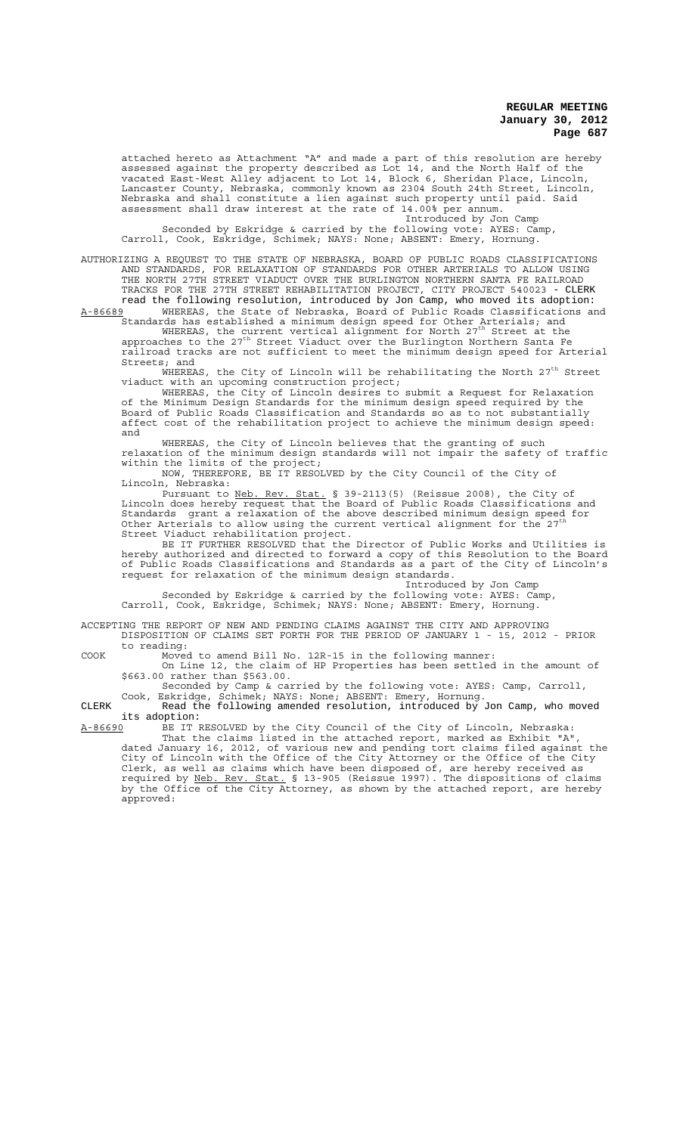attached hereto as Attachment "A" and made a part of this resolution are hereby assessed against the property described as Lot 14, and the North Half of the vacated East-West Alley adjacent to Lot 14, Block 6, Sheridan Place, Lincoln, Lancaster County, Nebraska, commonly known as 2304 South 24th Street, Lincoln, Nebraska and shall constitute a lien against such property until paid. Said assessment shall draw interest at the rate of 14.00% per annum. Introduced by Jon Camp

Seconded by Eskridge & carried by the following vote: AYES: Camp, Carroll, Cook, Eskridge, Schimek; NAYS: None; ABSENT: Emery, Hornung.

AUTHORIZING A REQUEST TO THE STATE OF NEBRASKA, BOARD OF PUBLIC ROADS CLASSIFICATIONS AND STANDARDS, FOR RELAXATION OF STANDARDS FOR OTHER ARTERIALS TO ALLOW USING THE NORTH 27TH STREET VIADUCT OVER THE BURLINGTON NORTHERN SANTA FE RAILROAD TRACKS FOR THE 27TH STREET REHABILITATION PROJECT, CITY PROJECT 540023 - CLERK read the following resolution, introduced by Jon Camp, who moved its adoption:

A-86689 MHEREAS, the State of Nebraska, Board of Public Roads Classifications and Standards has established a minimum design speed for Other Arterials; and<br>WHEREAS, the current vertical alignment for North 27<sup>th</sup> Street at the

approaches to the 27<sup>th</sup> Street Viaduct over the Burlington Northern Santa Fe railroad tracks are not sufficient to meet the minimum design speed for Arterial Streets; and

WHEREAS, the City of Lincoln will be rehabilitating the North  $27<sup>th</sup>$  Street viaduct with an upcoming construction project;

WHEREAS, the City of Lincoln desires to submit a Request for Relaxation of the Minimum Design Standards for the minimum design speed required by the Board of Public Roads Classification and Standards so as to not substantially affect cost of the rehabilitation project to achieve the minimum design speed: and

WHEREAS, the City of Lincoln believes that the granting of such relaxation of the minimum design standards will not impair the safety of traffic within the limits of the project;

NOW, THEREFORE, BE IT RESOLVED by the City Council of the City of Lincoln, Nebraska:

Pursuant to Neb. Rev. Stat. § 39-2113(5) (Reissue 2008), the City of Lincoln does hereby request that the Board of Public Roads Classifications and Standards grant a relaxation of the above described minimum design speed for Other Arterials to allow using the current vertical alignment for the 27 Street Viaduct rehabilitation project.

BE IT FURTHER RESOLVED that the Director of Public Works and Utilities is hereby authorized and directed to forward a copy of this Resolution to the Board of Public Roads Classifications and Standards as a part of the City of Lincoln's request for relaxation of the minimum design standards.

Introduced by Jon Camp

Seconded by Eskridge & carried by the following vote: AYES: Camp, Carroll, Cook, Eskridge, Schimek; NAYS: None; ABSENT: Emery, Hornung.

ACCEPTING THE REPORT OF NEW AND PENDING CLAIMS AGAINST THE CITY AND APPROVING DISPOSITION OF CLAIMS SET FORTH FOR THE PERIOD OF JANUARY 1 - 15, 2012 - PRIOR to reading:

COOK Moved to amend Bill No. 12R-15 in the following manner: On Line 12, the claim of HP Properties has been settled in the amount of \$663.00 rather than \$563.00.

Seconded by Camp & carried by the following vote: AYES: Camp, Carroll, Cook, Eskridge, Schimek; NAYS: None; ABSENT: Emery, Hornung.

CLERK Read the following amended resolution, introduced by Jon Camp, who moved its adoption:<br>A-86690 BE IT F

A-86690 BE IT RESOLVED by the City Council of the City of Lincoln, Nebraska: That the claims listed in the attached report, marked as Exhibit "A", dated January 16, 2012, of various new and pending tort claims filed against the City of Lincoln with the Office of the City Attorney or the Office of the City Clerk, as well as claims which have been disposed of, are hereby received as required by Neb. Rev. Stat. § 13-905 (Reissue 1997). The dispositions of claims by the Office of the City Attorney, as shown by the attached report, are hereby approved: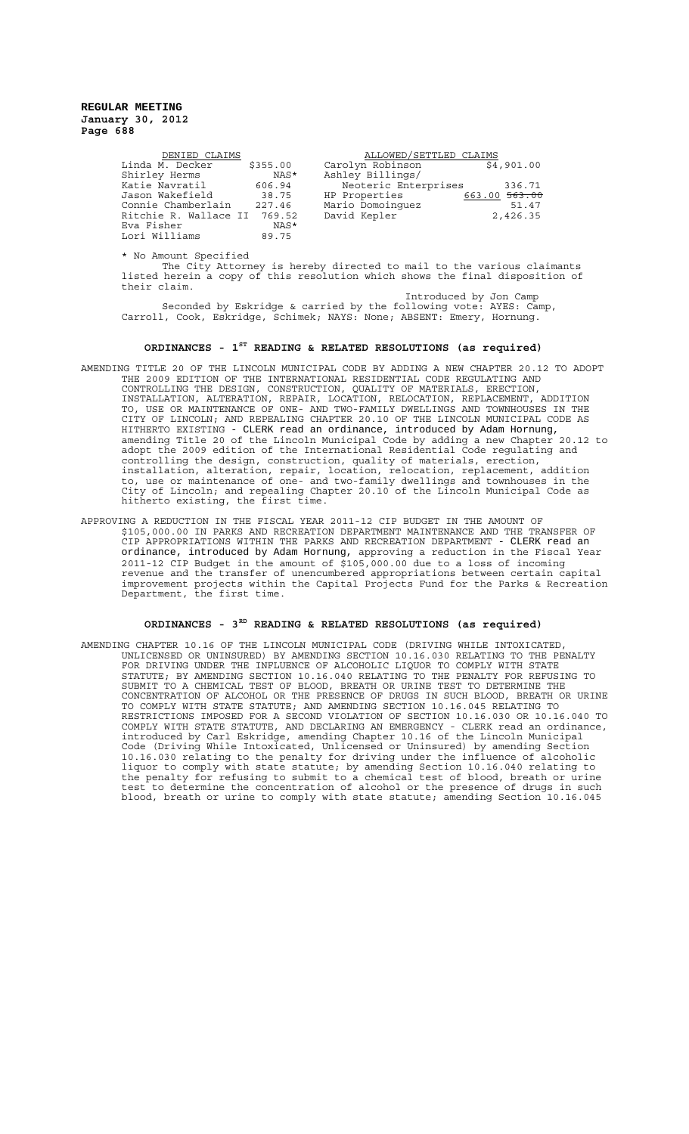| DENIED CLAIMS                |          | ALLOWED/SETTLED CLAIMS |               |
|------------------------------|----------|------------------------|---------------|
| Linda M. Decker              | \$355.00 | Carolyn Robinson       | \$4,901.00    |
| Shirley Herms                | NAS*     | Ashley Billings/       |               |
| Katie Navratil               | 606.94   | Neoteric Enterprises   | 336.71        |
| Jason Wakefield              | 38.75    | HP Properties          | 663.00 563.00 |
| Connie Chamberlain           | 227.46   | Mario Domoinquez       | 51.47         |
| Ritchie R. Wallace II 769.52 |          | David Kepler           | 2,426.35      |
| Eva Fisher                   | NAS*     |                        |               |
| Lori Williams                | 89.75    |                        |               |

\* No Amount Specified

The City Attorney is hereby directed to mail to the various claimants listed herein a copy of this resolution which shows the final disposition of their claim.

Introduced by Jon Camp Seconded by Eskridge & carried by the following vote: AYES: Camp, Carroll, Cook, Eskridge, Schimek; NAYS: None; ABSENT: Emery, Hornung.

# **ORDINANCES - 1ST READING & RELATED RESOLUTIONS (as required)**

- AMENDING TITLE 20 OF THE LINCOLN MUNICIPAL CODE BY ADDING A NEW CHAPTER 20.12 TO ADOPT THE 2009 EDITION OF THE INTERNATIONAL RESIDENTIAL CODE REGULATING AND CONTROLLING THE DESIGN, CONSTRUCTION, QUALITY OF MATERIALS, ERECTION, INSTALLATION, ALTERATION, REPAIR, LOCATION, RELOCATION, REPLACEMENT, ADDITION TO, USE OR MAINTENANCE OF ONE- AND TWO-FAMILY DWELLINGS AND TOWNHOUSES IN THE CITY OF LINCOLN; AND REPEALING CHAPTER 20.10 OF THE LINCOLN MUNICIPAL CODE AS HITHERTO EXISTING - CLERK read an ordinance, introduced by Adam Hornung, amending Title 20 of the Lincoln Municipal Code by adding a new Chapter 20.12 to adopt the 2009 edition of the International Residential Code regulating and controlling the design, construction, quality of materials, erection, installation, alteration, repair, location, relocation, replacement, addition to, use or maintenance of one- and two-family dwellings and townhouses in the City of Lincoln; and repealing Chapter 20.10 of the Lincoln Municipal Code as hitherto existing, the first time.
- APPROVING A REDUCTION IN THE FISCAL YEAR 2011-12 CIP BUDGET IN THE AMOUNT OF \$105,000.00 IN PARKS AND RECREATION DEPARTMENT MAINTENANCE AND THE TRANSFER OF CIP APPROPRIATIONS WITHIN THE PARKS AND RECREATION DEPARTMENT - CLERK read an ordinance, introduced by Adam Hornung, approving a reduction in the Fiscal Year 2011-12 CIP Budget in the amount of \$105,000.00 due to a loss of incoming revenue and the transfer of unencumbered appropriations between certain capital improvement projects within the Capital Projects Fund for the Parks & Recreation Department, the first time.

### **ORDINANCES - 3RD READING & RELATED RESOLUTIONS (as required)**

AMENDING CHAPTER 10.16 OF THE LINCOLN MUNICIPAL CODE (DRIVING WHILE INTOXICATED, UNLICENSED OR UNINSURED) BY AMENDING SECTION 10.16.030 RELATING TO THE PENALTY FOR DRIVING UNDER THE INFLUENCE OF ALCOHOLIC LIQUOR TO COMPLY WITH STATE STATUTE; BY AMENDING SECTION 10.16.040 RELATING TO THE PENALTY FOR REFUSING TO SUBMIT TO A CHEMICAL TEST OF BLOOD, BREATH OR URINE TEST TO DETERMINE THE CONCENTRATION OF ALCOHOL OR THE PRESENCE OF DRUGS IN SUCH BLOOD, BREATH OR URINE TO COMPLY WITH STATE STATUTE; AND AMENDING SECTION 10.16.045 RELATING TO RESTRICTIONS IMPOSED FOR A SECOND VIOLATION OF SECTION 10.16.030 OR 10.16.040 TO COMPLY WITH STATE STATUTE, AND DECLARING AN EMERGENCY - CLERK read an ordinance, introduced by Carl Eskridge, amending Chapter 10.16 of the Lincoln Municipal Code (Driving While Intoxicated, Unlicensed or Uninsured) by amending Section 10.16.030 relating to the penalty for driving under the influence of alcoholic liquor to comply with state statute; by amending Section 10.16.040 relating to the penalty for refusing to submit to a chemical test of blood, breath or urine test to determine the concentration of alcohol or the presence of drugs in such blood, breath or urine to comply with state statute; amending Section 10.16.045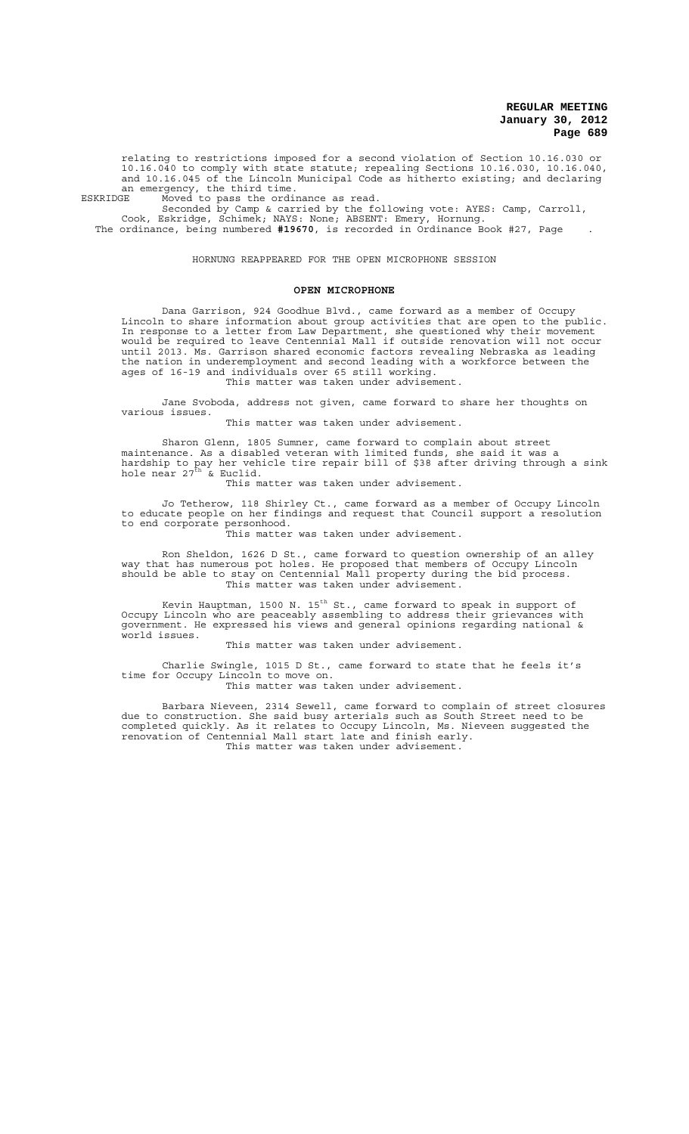relating to restrictions imposed for a second violation of Section 10.16.030 or 10.16.040 to comply with state statute; repealing Sections 10.16.030, 10.16.040, and 10.16.045 of the Lincoln Municipal Code as hitherto existing; and declaring an emergency, the third time.

ESKRIDGE Moved to pass the ordinance as read.

Seconded by Camp & carried by the following vote: AYES: Camp, Carroll, Cook, Eskridge, Schimek; NAYS: None; ABSENT: Emery, Hornung. The ordinance, being numbered **#19670**, is recorded in Ordinance Book #27, Page .

HORNUNG REAPPEARED FOR THE OPEN MICROPHONE SESSION

#### **OPEN MICROPHONE**

Dana Garrison, 924 Goodhue Blvd., came forward as a member of Occupy Lincoln to share information about group activities that are open to the public. In response to a letter from Law Department, she questioned why their movement would be required to leave Centennial Mall if outside renovation will not occur until 2013. Ms. Garrison shared economic factors revealing Nebraska as leading the nation in underemployment and second leading with a workforce between the ages of 16-19 and individuals over 65 still working. This matter was taken under advisement.

Jane Svoboda, address not given, came forward to share her thoughts on various issues.

This matter was taken under advisement.

Sharon Glenn, 1805 Sumner, came forward to complain about street maintenance. As a disabled veteran with limited funds, she said it was a hardship to pay her vehicle tire repair bill of \$38 after driving through a sink<br>hole near 27<sup>th</sup> & Euclid.

This matter was taken under advisement.

Jo Tetherow, 118 Shirley Ct., came forward as a member of Occupy Lincoln to educate people on her findings and request that Council support a resolution to end corporate personhood.

This matter was taken under advisement.

Ron Sheldon, 1626 D St., came forward to question ownership of an alley way that has numerous pot holes. He proposed that members of Occupy Lincoln should be able to stay on Centennial Mall property during the bid process. This matter was taken under advisement.

Kevin Hauptman, 1500 N. 15<sup>th</sup> St., came forward to speak in support of Occupy Lincoln who are peaceably assembling to address their grievances with government. He expressed his views and general opinions regarding national & world issues.

This matter was taken under advisement.

Charlie Swingle, 1015 D St., came forward to state that he feels it's time for Occupy Lincoln to move on. This matter was taken under advisement.

Barbara Nieveen, 2314 Sewell, came forward to complain of street closures due to construction. She said busy arterials such as South Street need to be completed quickly. As it relates to Occupy Lincoln, Ms. Nieveen suggested the renovation of Centennial Mall start late and finish early. This matter was taken under advisement.